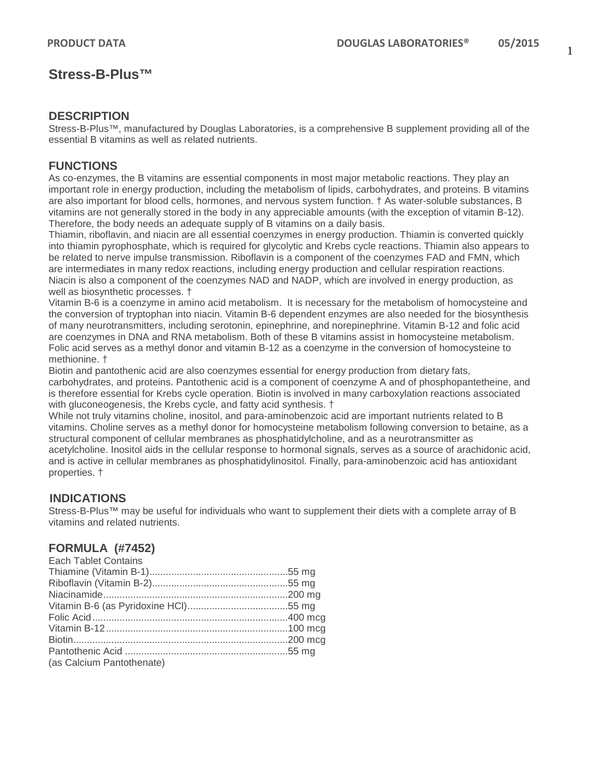# **Stress-B-Plus™**

### **DESCRIPTION**

Stress-B-Plus™, manufactured by Douglas Laboratories, is a comprehensive B supplement providing all of the essential B vitamins as well as related nutrients.

## **FUNCTIONS**

As co-enzymes, the B vitamins are essential components in most major metabolic reactions. They play an important role in energy production, including the metabolism of lipids, carbohydrates, and proteins. B vitamins are also important for blood cells, hormones, and nervous system function. † As water-soluble substances, B vitamins are not generally stored in the body in any appreciable amounts (with the exception of vitamin B-12). Therefore, the body needs an adequate supply of B vitamins on a daily basis.

Thiamin, riboflavin, and niacin are all essential coenzymes in energy production. Thiamin is converted quickly into thiamin pyrophosphate, which is required for glycolytic and Krebs cycle reactions. Thiamin also appears to be related to nerve impulse transmission. Riboflavin is a component of the coenzymes FAD and FMN, which are intermediates in many redox reactions, including energy production and cellular respiration reactions. Niacin is also a component of the coenzymes NAD and NADP, which are involved in energy production, as well as biosynthetic processes. †

Vitamin B-6 is a coenzyme in amino acid metabolism. It is necessary for the metabolism of homocysteine and the conversion of tryptophan into niacin. Vitamin B-6 dependent enzymes are also needed for the biosynthesis of many neurotransmitters, including serotonin, epinephrine, and norepinephrine. Vitamin B-12 and folic acid are coenzymes in DNA and RNA metabolism. Both of these B vitamins assist in homocysteine metabolism. Folic acid serves as a methyl donor and vitamin B-12 as a coenzyme in the conversion of homocysteine to methionine. †

Biotin and pantothenic acid are also coenzymes essential for energy production from dietary fats, carbohydrates, and proteins. Pantothenic acid is a component of coenzyme A and of phosphopantetheine, and is therefore essential for Krebs cycle operation. Biotin is involved in many carboxylation reactions associated with gluconeogenesis, the Krebs cycle, and fatty acid synthesis. †

While not truly vitamins choline, inositol, and para-aminobenzoic acid are important nutrients related to B vitamins. Choline serves as a methyl donor for homocysteine metabolism following conversion to betaine, as a structural component of cellular membranes as phosphatidylcholine, and as a neurotransmitter as acetylcholine. Inositol aids in the cellular response to hormonal signals, serves as a source of arachidonic acid, and is active in cellular membranes as phosphatidylinositol. Finally, para-aminobenzoic acid has antioxidant properties. †

## **INDICATIONS**

Stress-B-Plus™ mav be useful for individuals who want to supplement their diets with a complete array of B vitamins and related nutrients.

## **FORMULA (#7452)**

| <b>Each Tablet Contains</b> |  |
|-----------------------------|--|
|                             |  |
|                             |  |
|                             |  |
|                             |  |
|                             |  |
|                             |  |
|                             |  |
|                             |  |
| (as Calcium Pantothenate)   |  |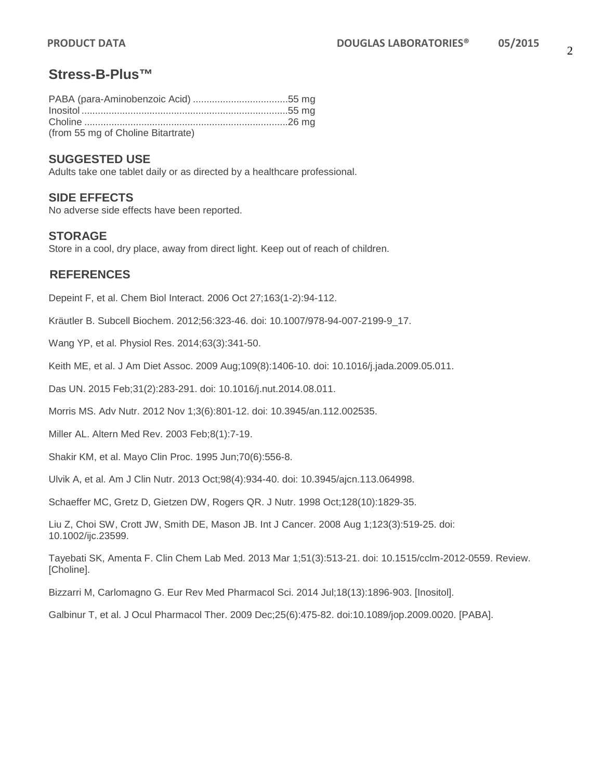# **Stress-B-Plus™**

| (from 55 mg of Choline Bitartrate) |  |
|------------------------------------|--|

#### **SUGGESTED USE**

Adults take one tablet daily or as directed by a healthcare professional.

#### **SIDE EFFECTS**

No adverse side effects have been reported.

#### **STORAGE**

Store in a cool, dry place, away from direct light. Keep out of reach of children.

#### **REFERENCES**

Depeint F, et al. Chem Biol Interact. 2006 Oct 27;163(1-2):94-112.

Kräutler B. Subcell Biochem. 2012;56:323-46. doi: 10.1007/978-94-007-2199-9\_17.

Wang YP, et al. Physiol Res. 2014;63(3):341-50.

Keith ME, et al. J Am Diet Assoc. 2009 Aug;109(8):1406-10. doi: 10.1016/j.jada.2009.05.011.

Das UN. 2015 Feb;31(2):283-291. doi: 10.1016/j.nut.2014.08.011.

Morris MS. Adv Nutr. 2012 Nov 1;3(6):801-12. doi: 10.3945/an.112.002535.

Miller AL. Altern Med Rev. 2003 Feb;8(1):7-19.

Shakir KM, et al. Mayo Clin Proc. 1995 Jun;70(6):556-8.

Ulvik A, et al. Am J Clin Nutr. 2013 Oct;98(4):934-40. doi: 10.3945/ajcn.113.064998.

Schaeffer MC, Gretz D, Gietzen DW, Rogers QR. J Nutr. 1998 Oct;128(10):1829-35.

Liu Z, Choi SW, Crott JW, Smith DE, Mason JB. Int J Cancer. 2008 Aug 1;123(3):519-25. doi: 10.1002/ijc.23599.

Tayebati SK, Amenta F. Clin Chem Lab Med. 2013 Mar 1;51(3):513-21. doi: 10.1515/cclm-2012-0559. Review. [Choline].

Bizzarri M, Carlomagno G. Eur Rev Med Pharmacol Sci. 2014 Jul;18(13):1896-903. [Inositol].

Galbinur T, et al. J Ocul Pharmacol Ther. 2009 Dec;25(6):475-82. doi:10.1089/jop.2009.0020. [PABA].